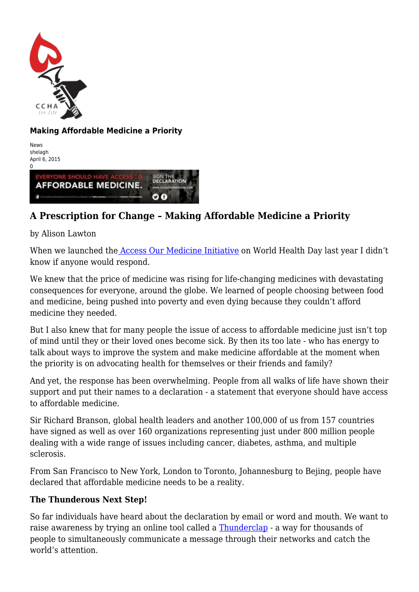

## **Making Affordable Medicine a Priority**

News shelagh April 6, 2015



## **A Prescription for Change – Making Affordable Medicine a Priority**

by Alison Lawton

When we launched the [Access Our Medicine Initiative](http://accessourmedicine.com/) on World Health Day last year I didn't know if anyone would respond.

We knew that the price of medicine was rising for life-changing medicines with devastating consequences for everyone, around the globe. We learned of people choosing between food and medicine, being pushed into poverty and even dying because they couldn't afford medicine they needed.

But I also knew that for many people the issue of access to affordable medicine just isn't top of mind until they or their loved ones become sick. By then its too late - who has energy to talk about ways to improve the system and make medicine affordable at the moment when the priority is on advocating health for themselves or their friends and family?

And yet, the response has been overwhelming. People from all walks of life have shown their support and put their names to a declaration - a statement that everyone should have access to affordable medicine.

Sir Richard Branson, global health leaders and another 100,000 of us from 157 countries have signed as well as over 160 organizations representing just under 800 million people dealing with a wide range of issues including cancer, diabetes, asthma, and multiple sclerosis.

From San Francisco to New York, London to Toronto, Johannesburg to Bejing, people have declared that affordable medicine needs to be a reality.

## **The Thunderous Next Step!**

So far individuals have heard about the declaration by email or word and mouth. We want to raise awareness by trying an online tool called a [Thunderclap](https://www.thunderclap.it/projects/23801-a-prescription-for-change?locale=en) - a way for thousands of people to simultaneously communicate a message through their networks and catch the world's attention.